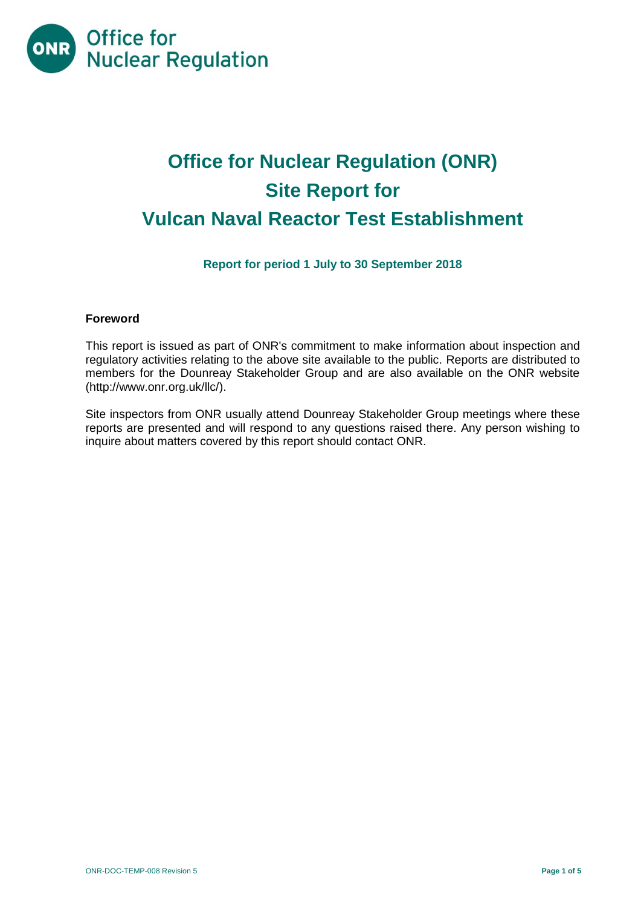

# **Office for Nuclear Regulation (ONR) Site Report for Vulcan Naval Reactor Test Establishment**

# **Report for period 1 July to 30 September 2018**

# **Foreword**

This report is issued as part of ONR's commitment to make information about inspection and regulatory activities relating to the above site available to the public. Reports are distributed to members for the Dounreay Stakeholder Group and are also available on the ONR website [\(http://www.onr.org.uk/llc/\)](http://www.onr.org.uk/llc/).

Site inspectors from ONR usually attend Dounreay Stakeholder Group meetings where these reports are presented and will respond to any questions raised there. Any person wishing to inquire about matters covered by this report should contact ONR.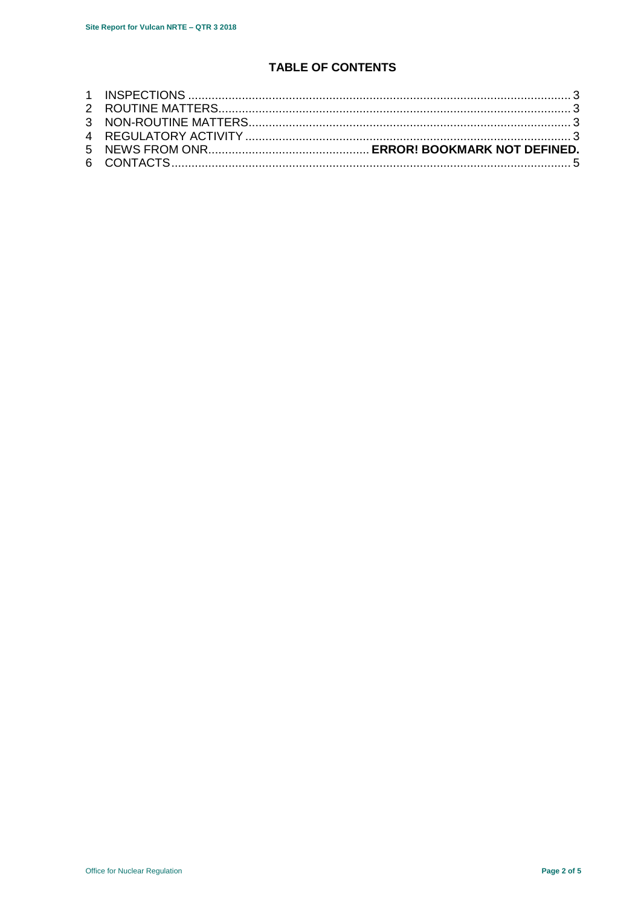# **TABLE OF CONTENTS**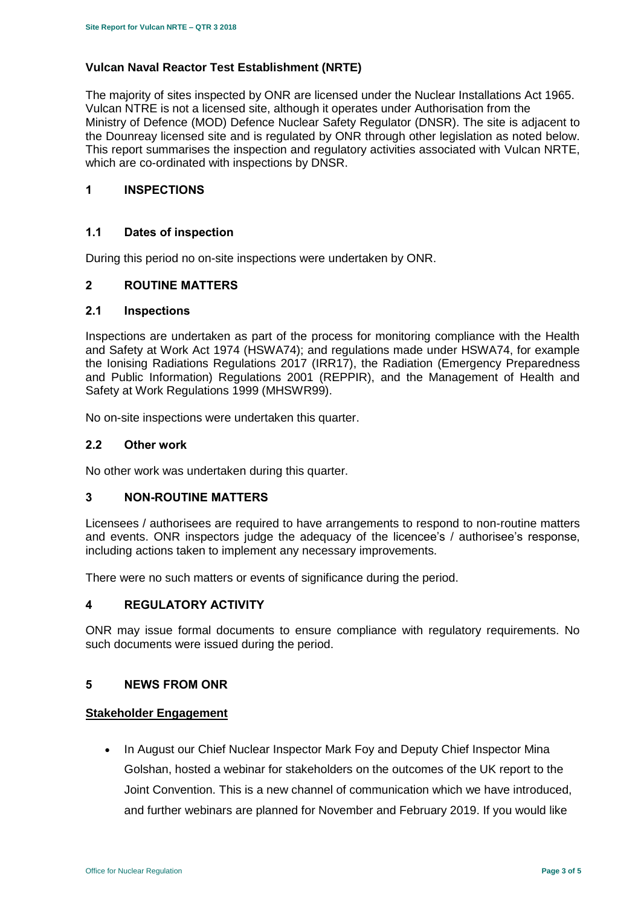#### **Vulcan Naval Reactor Test Establishment (NRTE)**

The majority of sites inspected by ONR are licensed under the Nuclear Installations Act 1965. Vulcan NTRE is not a licensed site, although it operates under Authorisation from the Ministry of Defence (MOD) Defence Nuclear Safety Regulator (DNSR). The site is adjacent to the Dounreay licensed site and is regulated by ONR through other legislation as noted below. This report summarises the inspection and regulatory activities associated with Vulcan NRTE, which are co-ordinated with inspections by DNSR.

# <span id="page-2-0"></span>**1 INSPECTIONS**

#### **1.1 Dates of inspection**

During this period no on-site inspections were undertaken by ONR.

#### <span id="page-2-1"></span>**2 ROUTINE MATTERS**

#### **2.1 Inspections**

Inspections are undertaken as part of the process for monitoring compliance with the Health and Safety at Work Act 1974 (HSWA74); and regulations made under HSWA74, for example the Ionising Radiations Regulations 2017 (IRR17), the Radiation (Emergency Preparedness and Public Information) Regulations 2001 (REPPIR), and the Management of Health and Safety at Work Regulations 1999 (MHSWR99).

No on-site inspections were undertaken this quarter.

#### **2.2 Other work**

No other work was undertaken during this quarter.

#### <span id="page-2-2"></span>**3 NON-ROUTINE MATTERS**

Licensees / authorisees are required to have arrangements to respond to non-routine matters and events. ONR inspectors judge the adequacy of the licencee's / authorisee's response, including actions taken to implement any necessary improvements.

There were no such matters or events of significance during the period.

#### <span id="page-2-3"></span>**4 REGULATORY ACTIVITY**

ONR may issue formal documents to ensure compliance with regulatory requirements. No such documents were issued during the period.

#### **5 NEWS FROM ONR**

# **Stakeholder Engagement**

• In August our Chief Nuclear Inspector Mark Foy and Deputy Chief Inspector Mina Golshan, hosted a webinar for stakeholders on the outcomes of the UK report to the Joint Convention. This is a new channel of communication which we have introduced, and further webinars are planned for November and February 2019. If you would like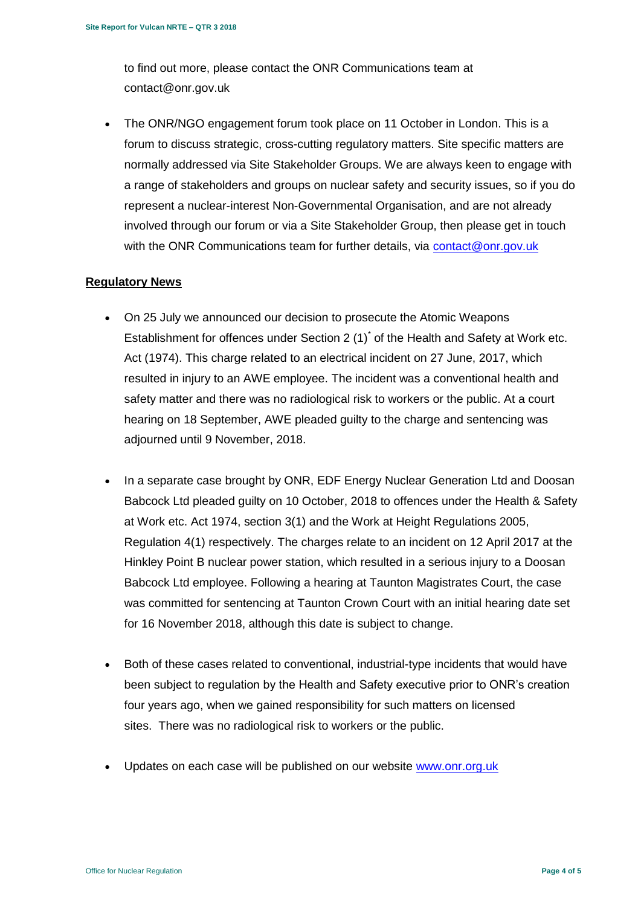to find out more, please contact the ONR Communications team at contact@onr.gov.uk

• The ONR/NGO engagement forum took place on 11 October in London. This is a forum to discuss strategic, cross-cutting regulatory matters. Site specific matters are normally addressed via Site Stakeholder Groups. We are always keen to engage with a range of stakeholders and groups on nuclear safety and security issues, so if you do represent a nuclear-interest Non-Governmental Organisation, and are not already involved through our forum or via a Site Stakeholder Group, then please get in touch with the ONR Communications team for further details, via [contact@onr.gov.uk](mailto:contact@onr.gov.uk)

# **Regulatory News**

- On 25 July we announced our decision to prosecute the Atomic Weapons Establishment for offences under Section 2  $(1)$ <sup>\*</sup> of the Health and Safety at Work etc. Act (1974). This charge related to an electrical incident on 27 June, 2017, which resulted in injury to an AWE employee. The incident was a conventional health and safety matter and there was no radiological risk to workers or the public. At a court hearing on 18 September, AWE pleaded guilty to the charge and sentencing was adjourned until 9 November, 2018.
- In a separate case brought by ONR, EDF Energy Nuclear Generation Ltd and Doosan Babcock Ltd pleaded guilty on 10 October, 2018 to offences under the Health & Safety at Work etc. Act 1974, section 3(1) and the Work at Height Regulations 2005, Regulation 4(1) respectively. The charges relate to an incident on 12 April 2017 at the Hinkley Point B nuclear power station, which resulted in a serious injury to a Doosan Babcock Ltd employee. Following a hearing at Taunton Magistrates Court, the case was committed for sentencing at Taunton Crown Court with an initial hearing date set for 16 November 2018, although this date is subject to change.
- Both of these cases related to conventional, industrial-type incidents that would have been subject to regulation by the Health and Safety executive prior to ONR's creation four years ago, when we gained responsibility for such matters on licensed sites. There was no radiological risk to workers or the public.
- Updates on each case will be published on our website [www.onr.org.uk](http://www.onr.org.uk/)